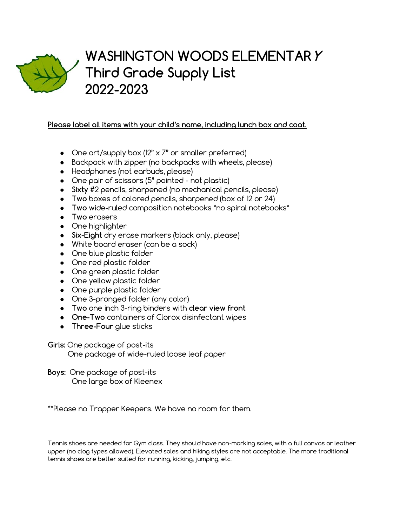

## **WASHINGTON WOODS ELEMENTARY Third Grade Supply List 2022-2023**

## **Please label all items with your child's name, including lunch box and coat.**

- One art/supply box (12" x 7" or smaller preferred)
- Backpack with zipper (no backpacks with wheels, please)
- Headphones (not earbuds, please)
- One pair of scissors (5" pointed not plastic)
- **Sixty** #2 pencils, sharpened (no mechanical pencils, please)
- **Two** boxes of colored pencils, sharpened (box of 12 or 24)
- **Two** wide-ruled composition notebooks \*no spiral notebooks\*
- **Two** erasers
- One highlighter
- **Six-Eight** dry erase markers (black only, please)
- White board eraser (can be a sock)
- One blue plastic folder
- One red plastic folder
- One green plastic folder
- One yellow plastic folder
- One purple plastic folder
- One 3-pronged folder (any color)
- **Two** one inch 3-ring binders with **clear view front**
- **One-Two** containers of Clorox disinfectant wipes
- **Three-Four** glue sticks

**Girls:** One package of post-its

One package of wide-ruled loose leaf paper

**Boys:** One package of post-its One large box of Kleenex

\*\*Please no Trapper Keepers. We have no room for them.

Tennis shoes are needed for Gym class. They should have non-marking soles, with a full canvas or leather upper (no clog types allowed). Elevated soles and hiking styles are not acceptable. The more traditional tennis shoes are better suited for running, kicking, jumping, etc.